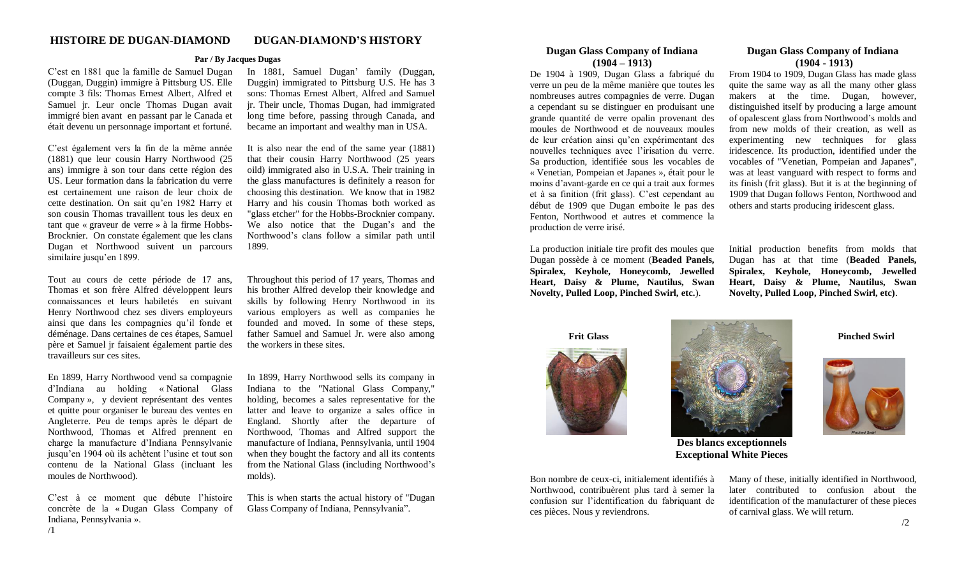## **Par / By Jacques Dugas**

C'est en 1881 que la famille de Samuel Dugan (Duggan, Duggin) immigre à Pittsburg US. Elle compte 3 fils: Thomas Ernest Albert, Alfred et Samuel jr. Leur oncle Thomas Dugan avait immigré bien avant en passant par le Canada et était devenu un personnage important et fortuné.

C'est également vers la fin de la même année (1881) que leur cousin Harry Northwood (25 ans) immigre à son tour dans cette région des US. Leur formation dans la fabrication du verre est certainement une raison de leur choix de cette destination. On sait qu'en 1982 Harry et son cousin Thomas travaillent tous les deux en tant que « graveur de verre » à la firme Hobbs-Brocknier. On constate également que les clans Dugan et Northwood suivent un parcours similaire jusqu'en 1899.

Tout au cours de cette période de 17 ans, Thomas et son frère Alfred développent leurs connaissances et leurs habiletés en suivant Henry Northwood chez ses divers employeurs ainsi que dans les compagnies qu'il fonde et déménage. Dans certaines de ces étapes, Samuel père et Samuel jr faisaient également partie des travailleurs sur ces sites.

En 1899, Harry Northwood vend sa compagnie d'Indiana au holding « National Glass Company », y devient représentant des ventes et quitte pour organiser le bureau des ventes en Angleterre. Peu de temps après le départ de Northwood, Thomas et Alfred prennent en charge la manufacture d'Indiana Pennsylvanie jusqu'en 1904 où ils achètent l'usine et tout son contenu de la National Glass (incluant les moules de Northwood).

C'est à ce moment que débute l'histoire concrète de la « Dugan Glass Company of Indiana, Pennsylvania ».

In 1881, Samuel Dugan' family (Duggan, Duggin) immigrated to Pittsburg U.S. He has 3 sons: Thomas Ernest Albert, Alfred and Samuel jr. Their uncle, Thomas Dugan, had immigrated long time before, passing through Canada, and became an important and wealthy man in USA.

It is also near the end of the same year (1881) that their cousin Harry Northwood (25 years oild) immigrated also in U.S.A. Their training in the glass manufactures is definitely a reason for choosing this destination. We know that in 1982 Harry and his cousin Thomas both worked as "glass etcher" for the Hobbs-Brocknier company. We also notice that the Dugan's and the Northwood's clans follow a similar path until 1899.

Throughout this period of 17 years, Thomas and his brother Alfred develop their knowledge and skills by following Henry Northwood in its various employers as well as companies he founded and moved. In some of these steps, father Samuel and Samuel Jr. were also among the workers in these sites.

In 1899, Harry Northwood sells its company in Indiana to the "National Glass Company," holding, becomes a sales representative for the latter and leave to organize a sales office in England. Shortly after the departure of Northwood, Thomas and Alfred support the manufacture of Indiana, Pennsylvania, until 1904 when they bought the factory and all its contents from the National Glass (including Northwood's molds).

This is when starts the actual history of "Dugan Glass Company of Indiana, Pennsylvania".

#### **Dugan Glass Company of Indiana (1904 – 1913)**

De 1904 à 1909, Dugan Glass a fabriqué du verre un peu de la même manière que toutes les nombreuses autres compagnies de verre. Dugan a cependant su se distinguer en produisant une grande quantité de verre opalin provenant des moules de Northwood et de nouveaux moules de leur création ainsi qu'en expérimentant des nouvelles techniques avec l'irisation du verre. Sa production, identifiée sous les vocables de « Venetian, Pompeian et Japanes », était pour le moins d'avant-garde en ce qui a trait aux formes et à sa finition (frit glass). C'est cependant au début de 1909 que Dugan emboite le pas des Fenton, Northwood et autres et commence la production de verre irisé.

La production initiale tire profit des moules que Dugan possède à ce moment (**Beaded Panels, Spiralex, Keyhole, Honeycomb, Jewelled Heart, Daisy & Plume, Nautilus, Swan Novelty, Pulled Loop, Pinched Swirl, etc.**).

## **Dugan Glass Company of Indiana (1904 - 1913)**

From 1904 to 1909, Dugan Glass has made glass quite the same way as all the many other glass makers at the time. Dugan, however, distinguished itself by producing a large amount of opalescent glass from Northwood's molds and from new molds of their creation, as well as experimenting new techniques for glass iridescence. Its production, identified under the vocables of "Venetian, Pompeian and Japanes", was at least vanguard with respect to forms and its finish (frit glass). But it is at the beginning of 1909 that Dugan follows Fenton, Northwood and others and starts producing iridescent glass.

Initial production benefits from molds that Dugan has at that time (**Beaded Panels, Spiralex, Keyhole, Honeycomb, Jewelled Heart, Daisy & Plume, Nautilus, Swan Novelty, Pulled Loop, Pinched Swirl, etc)**.







**Pinched Swirl**

**Des blancs exceptionnels Exceptional White Pieces**

Bon nombre de ceux-ci, initialement identifiés à Northwood, contribuèrent plus tard à semer la confusion sur l'identification du fabriquant de ces pièces. Nous y reviendrons.

Many of these, initially identified in Northwood, later contributed to confusion about the identification of the manufacturer of these pieces of carnival glass. We will return.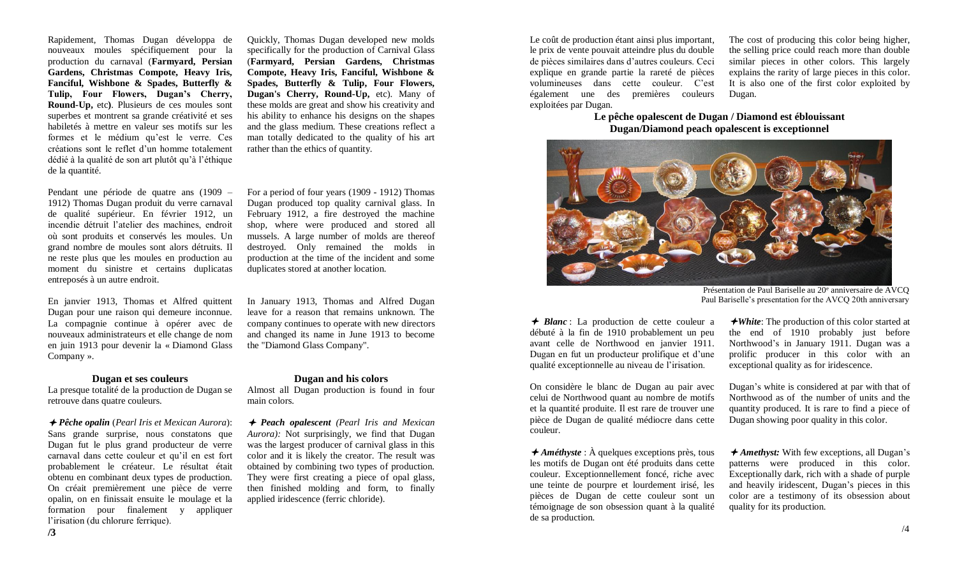Rapidement, Thomas Dugan développa de nouveaux moules spécifiquement pour la production du carnaval (**Farmyard, Persian Gardens, Christmas Compote, Heavy Iris, Fanciful, Wishbone & Spades, Butterfly & Tulip, Four Flowers, Dugan's Cherry, Round-Up,** etc**)**. Plusieurs de ces moules sont superbes et montrent sa grande créativité et ses habiletés à mettre en valeur ses motifs sur les formes et le médium qu'est le verre. Ces créations sont le reflet d'un homme totalement dédié à la qualité de son art plutôt qu'à l'éthique de la quantité.

Quickly, Thomas Dugan developed new molds specifically for the production of Carnival Glass (**Farmyard, Persian Gardens, Christmas Compote, Heavy Iris, Fanciful, Wishbone & Spades, Butterfly & Tulip, Four Flowers, Dugan's Cherry, Round-Up,** etc). Many of these molds are great and show his creativity and his ability to enhance his designs on the shapes and the glass medium. These creations reflect a man totally dedicated to the quality of his art rather than the ethics of quantity.

Pendant une période de quatre ans (1909 – 1912) Thomas Dugan produit du verre carnaval de qualité supérieur. En février 1912, un incendie détruit l'atelier des machines, endroit où sont produits et conservés les moules. Un grand nombre de moules sont alors détruits. Il ne reste plus que les moules en production au moment du sinistre et certains duplicatas entreposés à un autre endroit.

En janvier 1913, Thomas et Alfred quittent Dugan pour une raison qui demeure inconnue. La compagnie continue à opérer avec de nouveaux administrateurs et elle change de nom en juin 1913 pour devenir la « Diamond Glass Company ».

#### **Dugan et ses couleurs**

La presque totalité de la production de Dugan se retrouve dans quatre couleurs.

 *Pêche opalin* (*Pearl Iris et Mexican Aurora*): Sans grande surprise, nous constatons que Dugan fut le plus grand producteur de verre carnaval dans cette couleur et qu'il en est fort probablement le créateur. Le résultat était obtenu en combinant deux types de production. On créait premièrement une pièce de verre opalin, on en finissait ensuite le moulage et la formation pour finalement y appliquer l'irisation (du chlorure ferrique).

For a period of four years (1909 - 1912) Thomas Dugan produced top quality carnival glass. In February 1912, a fire destroyed the machine shop, where were produced and stored all mussels. A large number of molds are thereof destroyed. Only remained the molds in production at the time of the incident and some duplicates stored at another location.

In January 1913, Thomas and Alfred Dugan leave for a reason that remains unknown. The company continues to operate with new directors and changed its name in June 1913 to become the "Diamond Glass Company".

#### **Dugan and his colors**

Almost all Dugan production is found in four main colors.

 *Peach opalescent (Pearl Iris and Mexican Aurora):* Not surprisingly, we find that Dugan was the largest producer of carnival glass in this color and it is likely the creator. The result was obtained by combining two types of production. They were first creating a piece of opal glass, then finished molding and form, to finally applied iridescence (ferric chloride).

Le coût de production étant ainsi plus important, le prix de vente pouvait atteindre plus du double de pièces similaires dans d'autres couleurs. Ceci explique en grande partie la rareté de pièces volumineuses dans cette couleur. C'est également une des premières couleurs exploitées par Dugan.

The cost of producing this color being higher, the selling price could reach more than double similar pieces in other colors. This largely explains the rarity of large pieces in this color. It is also one of the first color exploited by Dugan.

**Le pêche opalescent de Dugan / Diamond est éblouissant Dugan/Diamond peach opalescent is exceptionnel**



Présentation de Paul Bariselle au 20<sup>e</sup> anniversaire de AVCQ Paul Bariselle's presentation for the AVCQ 20th anniversary

 $\rightarrow$  *Blanc* : La production de cette couleur a débuté à la fin de 1910 probablement un peu avant celle de Northwood en janvier 1911. Dugan en fut un producteur prolifique et d'une qualité exceptionnelle au niveau de l'irisation.

On considère le blanc de Dugan au pair avec celui de Northwood quant au nombre de motifs et la quantité produite. Il est rare de trouver une pièce de Dugan de qualité médiocre dans cette couleur.

*★Améthyste* : À quelques exceptions près, tous les motifs de Dugan ont été produits dans cette couleur. Exceptionnellement foncé, riche avec une teinte de pourpre et lourdement irisé, les pièces de Dugan de cette couleur sont un témoignage de son obsession quant à la qualité de sa production.

*White*: The production of this color started at the end of 1910 probably just before Northwood's in January 1911. Dugan was a prolific producer in this color with an exceptional quality as for iridescence.

Dugan's white is considered at par with that of Northwood as of the number of units and the quantity produced. It is rare to find a piece of Dugan showing poor quality in this color.

*★Amethyst:* With few exceptions, all Dugan's patterns were produced in this color. Exceptionally dark, rich with a shade of purple and heavily iridescent, Dugan's pieces in this color are a testimony of its obsession about quality for its production.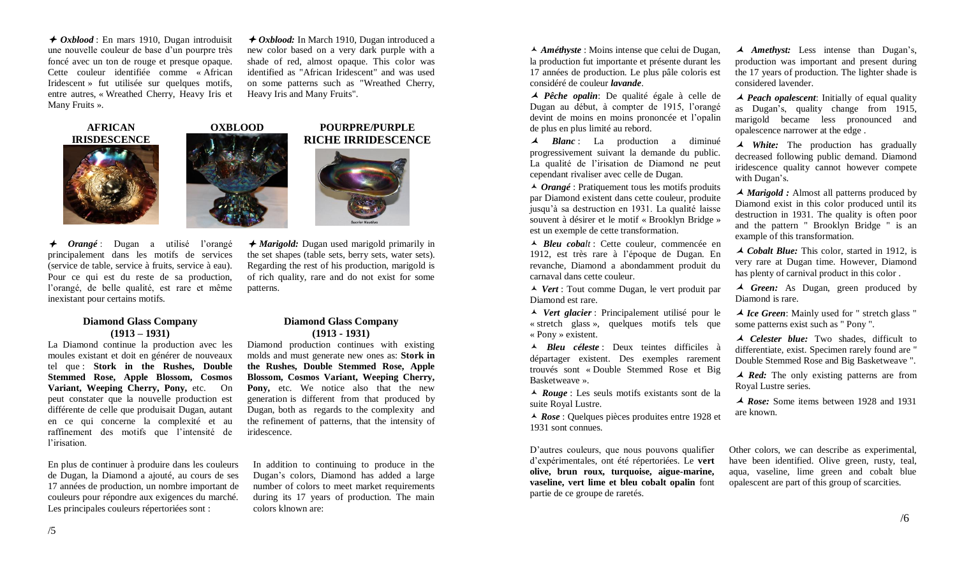*← Oxblood* : En mars 1910, Dugan introduisit une nouvelle couleur de base d'un pourpre très foncé avec un ton de rouge et presque opaque. Cette couleur identifiée comme « African Iridescent » fut utilisée sur quelques motifs, entre autres, « Wreathed Cherry, Heavy Iris et Many Fruits ».

*→ Oxblood:* In March 1910, Dugan introduced a new color based on a very dark purple with a shade of red, almost opaque. This color was identified as "African Iridescent" and was used on some patterns such as "Wreathed Cherry, Heavy Iris and Many Fruits".

**AFRICAN IRISDESCENCE**

inexistant pour certains motifs.

# *Orangé* : Dugan a utilisé l'orangé principalement dans les motifs de services (service de table, service à fruits, service à eau). Pour ce qui est du reste de sa production, l'orangé, de belle qualité, est rare et même

#### **Diamond Glass Company (1913 – 1931)**

La Diamond continue la production avec les moules existant et doit en générer de nouveaux tel que : **Stork in the Rushes, Double Stemmed Rose, Apple Blossom, Cosmos Variant, Weeping Cherry, Pony,** etc. On peut constater que la nouvelle production est différente de celle que produisait Dugan, autant en ce qui concerne la complexité et au raffinement des motifs que l'intensité de l'irisation.

En plus de continuer à produire dans les couleurs de Dugan, la Diamond a ajouté, au cours de ses 17 années de production, un nombre important de couleurs pour répondre aux exigences du marché. Les principales couleurs répertoriées sont :

#### **OXBLOOD POURPRE/PURPLE RICHE IRRIDESCENCE**



 *Marigold:* Dugan used marigold primarily in the set shapes (table sets, berry sets, water sets). Regarding the rest of his production, marigold is of rich quality, rare and do not exist for some patterns.

## **Diamond Glass Company (1913 - 1931)**

Diamond production continues with existing molds and must generate new ones as: **Stork in the Rushes, Double Stemmed Rose, Apple Blossom, Cosmos Variant, Weeping Cherry, Pony,** etc. We notice also that the new generation is different from that produced by Dugan, both as regards to the complexity and the refinement of patterns, that the intensity of iridescence.

In addition to continuing to produce in the Dugan's colors, Diamond has added a large number of colors to meet market requirements during its 17 years of production. The main colors klnown are:

 *Améthyste* : Moins intense que celui de Dugan, la production fut importante et présente durant les 17 années de production. Le plus pâle coloris est considéré de couleur *lavande*.

 *Pêche opalin*: De qualité égale à celle de Dugan au début, à compter de 1915, l'orangé devint de moins en moins prononcée et l'opalin de plus en plus limité au rebord.

 *Blanc* : La production a diminué progressivement suivant la demande du public. La qualité de l'irisation de Diamond ne peut cependant rivaliser avec celle de Dugan.

 *Orangé* : Pratiquement tous les motifs produits par Diamond existent dans cette couleur, produite jusqu'à sa destruction en 1931. La qualité laisse souvent à désirer et le motif « Brooklyn Bridge » est un exemple de cette transformation.

 *Bleu cobalt* : Cette couleur, commencée en 1912, est très rare à l'époque de Dugan. En revanche, Diamond a abondamment produit du carnaval dans cette couleur.

 *Vert* : Tout comme Dugan, le vert produit par Diamond est rare.

 *Vert glacier* : Principalement utilisé pour le « stretch glass », quelques motifs tels que « Pony » existent.

 *Bleu céleste* : Deux teintes difficiles à départager existent. Des exemples rarement trouvés sont « Double Stemmed Rose et Big Basketweave ».

 *Rouge* : Les seuls motifs existants sont de la suite Royal Lustre.

 *Rose* : Quelques pièces produites entre 1928 et 1931 sont connues.

D'autres couleurs, que nous pouvons qualifier d'expérimentales, ont été répertoriées. Le **vert olive, brun roux, turquoise, aigue-marine, vaseline, vert lime et bleu cobalt opalin** font partie de ce groupe de raretés.

 *Amethyst:* Less intense than Dugan's, production was important and present during the 17 years of production. The lighter shade is considered lavender.

 *Peach opalescent*: Initially of equal quality as Dugan's, quality change from 1915, marigold became less pronounced and opalescence narrower at the edge .

*A White*: The production has gradually decreased following public demand. Diamond iridescence quality cannot however compete with Dugan's.

*A Marigold :* Almost all patterns produced by Diamond exist in this color produced until its destruction in 1931. The quality is often poor and the pattern " Brooklyn Bridge " is an example of this transformation.

 *Cobalt Blue:* This color, started in 1912, is very rare at Dugan time. However, Diamond has plenty of carnival product in this color .

Green: As Dugan, green produced by Diamond is rare.

 *Ice Green*: Mainly used for " stretch glass " some patterns exist such as " Pony ".

 *Celester blue:* Two shades, difficult to differentiate, exist. Specimen rarely found are " Double Stemmed Rose and Big Basketweave ".

**★ Red:** The only existing patterns are from Royal Lustre series.

 *Rose:* Some items between 1928 and 1931 are known.

Other colors, we can describe as experimental, have been identified. Olive green, rusty, teal, aqua, vaseline, lime green and cobalt blue opalescent are part of this group of scarcities.